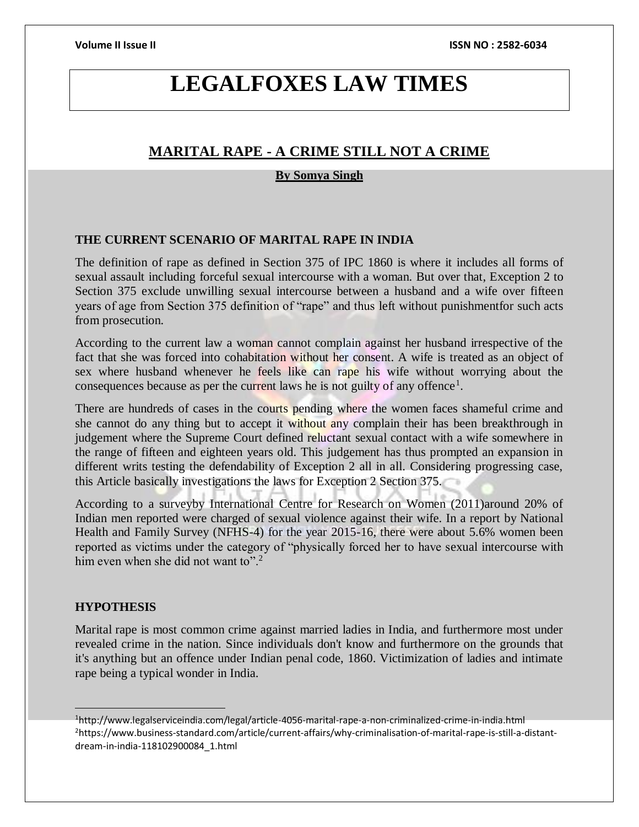# **LEGALFOXES LAW TIMES**

# **MARITAL RAPE - A CRIME STILL NOT A CRIME**

### **By Somya Singh**

### **THE CURRENT SCENARIO OF MARITAL RAPE IN INDIA**

The definition of rape as defined in Section 375 of IPC 1860 is where it includes all forms of sexual assault including forceful sexual intercourse with a woman. But over that, Exception 2 to Section 375 exclude unwilling sexual intercourse between a husband and a wife over fifteen years of age from Section 375 definition of "rape" and thus left without punishmentfor such acts from prosecution.

According to the current law a woman cannot complain against her husband irrespective of the fact that she was forced into cohabitation without her consent. A wife is treated as an object of sex where husband whenever he feels like can rape his wife without worrying about the consequences because as per the current laws he is not guilty of any offence<sup>1</sup>.

There are hundreds of cases in the courts pending where the women faces shameful crime and she cannot do any thing but to accept it without any complain their has been breakthrough in judgement where the Supreme Court defined reluctant sexual contact with a wife somewhere in the range of fifteen and eighteen years old. This judgement has thus prompted an expansion in different writs testing the defendability of Exception 2 all in all. Considering progressing case, this Article basically investigations the laws for Exception 2 Section 375.

According to a surveyby International Centre for Research on Women (2011)around 20% of Indian men reported were charged of sexual violence against their wife. In a report by [National](https://www.business-standard.com/category/current-affairs-news-national-1150106.htm) Health and Family Survey (NFHS-4) for the year 2015-16, there were about 5.6% women been reported as victims under the category of "physically forced her to have sexual intercourse with him even when she did not want to".<sup>2</sup>

### **HYPOTHESIS**

Marital rape is most common crime against married ladies in India, and furthermore most under revealed crime in the nation. Since individuals don't know and furthermore on the grounds that it's anything but an offence under Indian penal code, 1860. Victimization of ladies and intimate rape being a typical wonder in India.

<sup>1</sup>http://www.legalserviceindia.com/legal/article-4056-marital-rape-a-non-criminalized-crime-in-india.html 2https://www.business-standard.com/article/current-affairs/why-criminalisation-of-marital-rape-is-still-a-distantdream-in-india-118102900084\_1.html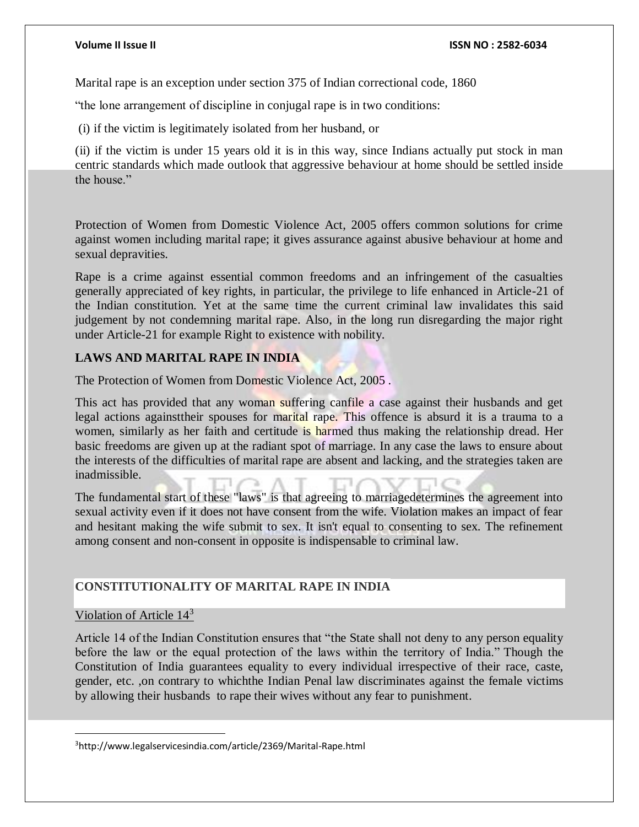Marital rape is an exception under section 375 of Indian correctional code, 1860

"the lone arrangement of discipline in conjugal rape is in two conditions:

(i) if the victim is legitimately isolated from her husband, or

(ii) if the victim is under 15 years old it is in this way, since Indians actually put stock in man centric standards which made outlook that aggressive behaviour at home should be settled inside the house."

Protection of Women from Domestic Violence Act, 2005 offers common solutions for crime against women including marital rape; it gives assurance against abusive behaviour at home and sexual depravities.

Rape is a crime against essential common freedoms and an infringement of the casualties generally appreciated of key rights, in particular, the privilege to life enhanced in Article-21 of the Indian constitution. Yet at the same time the current criminal law invalidates this said judgement by not condemning marital rape. Also, in the long run disregarding the major right under Article-21 for example Right to existence with nobility.

## **LAWS AND MARITAL RAPE IN INDIA**

The Protection of Women from Domestic Violence Act, 2005 .

This act has provided that any woman suffering canfile a case against their husbands and get legal actions againsttheir spouses for marital rape. This offence is absurd it is a trauma to a women, similarly as her faith and certitude is harmed thus making the relationship dread. Her basic freedoms are given up at the radiant spot of marriage. In any case the laws to ensure about the interests of the difficulties of marital rape are absent and lacking, and the strategies taken are inadmissible.

The fundamental start of these "laws" is that agreeing to marriagedetermines the agreement into sexual activity even if it does not have consent from the wife. Violation makes an impact of fear and hesitant making the wife submit to sex. It isn't equal to consenting to sex. The refinement among consent and non-consent in opposite is indispensable to criminal law.

# **CONSTITUTIONALITY OF MARITAL RAPE IN INDIA**

## Violation of Article 14<sup>3</sup>

 $\overline{a}$ 

Article 14 of the Indian Constitution ensures that "the State shall not deny to any person equality before the law or the equal protection of the laws within the territory of India." Though the Constitution of India guarantees equality to every individual irrespective of their race, caste, gender, etc. ,on contrary to whichthe Indian Penal law discriminates against the female victims by allowing their husbands to rape their wives without any fear to punishment.

<sup>3</sup>http://www.legalservicesindia.com/article/2369/Marital-Rape.html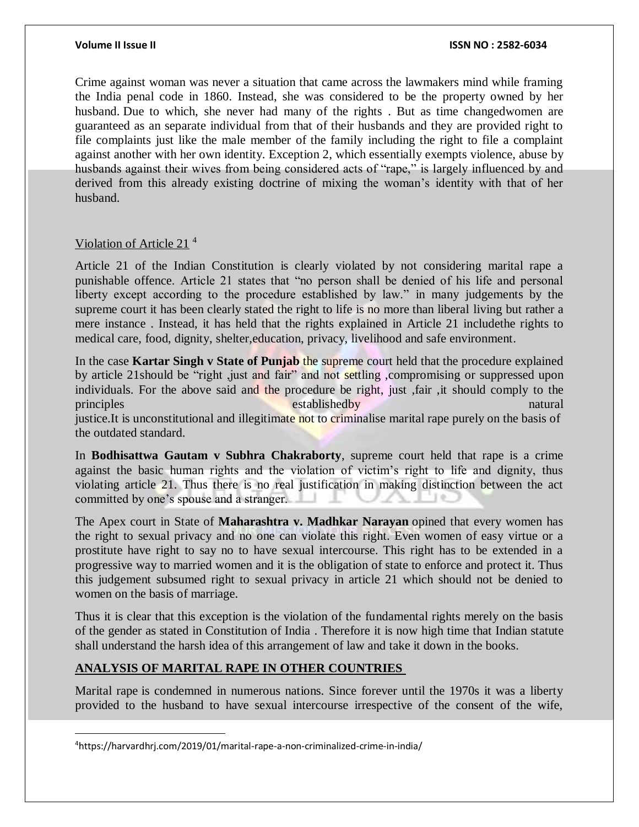Crime against woman was never a situation that came across the lawmakers mind while framing the India penal code in 1860. Instead, she was considered to be the property owned by her husband. Due to which, she never had many of the rights . But as time changedwomen are guaranteed as an separate individual from that of their husbands and they are provided right to file complaints just like the male member of the family including the right to file a complaint against another with her own identity. Exception 2, which essentially exempts violence, abuse by husbands against their wives from being considered acts of "rape," is largely influenced by and derived from this already existing doctrine of mixing the woman's identity with that of her husband.

## Violation of Article 21 <sup>4</sup>

 $\overline{a}$ 

Article 21 of the Indian Constitution is clearly violated by not considering marital rape a punishable offence. Article 21 states that "no person shall be denied of his life and personal liberty except according to the procedure established by law." in many judgements by the supreme court it has been clearly stated the right to life is no more than liberal living but rather a mere instance . Instead, it has held that the rights explained in Article 21 includethe rights to medical care, food, dignity, shelter,education, privacy, livelihood and safe environment.

In the case **Kartar Singh v State of Punjab** the supreme court held that the procedure explained by article 21 should be "right, just and fair" and not settling, compromising or suppressed upon individuals. For the above said and the procedure be right, just ,fair ,it should comply to the principles establishedby natural establishedby natural justice. It is unconstitutional and illegitimate not to criminalise marital rape purely on the basis of the outdated standard.

In **Bodhisattwa Gautam v Subhra Chakraborty**, supreme court held that rape is a crime against the basic human rights and the violation of victim's right to life and dignity, thus violating article 21. Thus there is no real justification in making distinction between the act committed by one's spouse and a stranger.

The Apex court in State of **Maharashtra v. Madhkar Narayan** opined that every women has the right to sexual privacy and no one can violate this right. Even women of easy virtue or a prostitute have right to say no to have sexual intercourse. This right has to be extended in a progressive way to married women and it is the obligation of state to enforce and protect it. Thus this judgement subsumed right to sexual privacy in article 21 which should not be denied to women on the basis of marriage.

Thus it is clear that this exception is the violation of the fundamental rights merely on the basis of the gender as stated in Constitution of India . Therefore it is now high time that Indian statute shall understand the harsh idea of this arrangement of law and take it down in the books.

# **ANALYSIS OF MARITAL RAPE IN OTHER COUNTRIES**

Marital rape is condemned in numerous nations. Since forever until the 1970s it was a liberty provided to the husband to have sexual intercourse irrespective of the consent of the wife,

<sup>4</sup>https://harvardhrj.com/2019/01/marital-rape-a-non-criminalized-crime-in-india/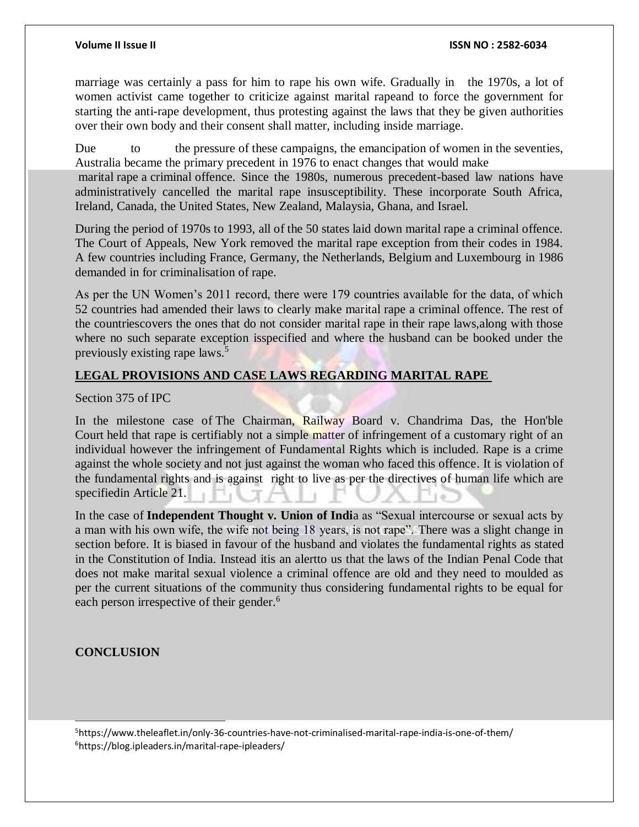marriage was certainly a pass for him to rape his own wife. Gradually in the 1970s, a lot of women activist came together to criticize against marital rapeand to force the government for starting the anti-rape development, thus protesting against the laws that they be given authorities over their own body and their consent shall matter, including inside marriage.

Due to the pressure of these campaigns, the emancipation of women in the seventies, Australia became the primary precedent in 1976 to enact changes that would make

marital rape a criminal offence. Since the 1980s, numerous precedent-based law nations have administratively cancelled the marital rape insusceptibility. These incorporate South Africa, Ireland, Canada, the United States, New Zealand, Malaysia, Ghana, and Israel.

During the period of 1970s to 1993, all of the 50 states laid down marital rape a criminal offence. The Court of Appeals, New York removed the marital rape exception from their codes in 1984. A few countries including France, Germany, the Netherlands, Belgium and Luxembourg in 1986 demanded in for criminalisation of rape.

As per the UN Women's 2011 record, there were 179 countries available for the data, of which 52 countries had amended their laws to clearly make marital rape a criminal offence. The rest of the countriescovers the ones that do not consider marital rape in their rape laws,along with those where no such separate exception isspecified and where the husband can be booked under the previously existing rape laws.<sup>5</sup>

# **LEGAL PROVISIONS AND CASE LAWS REGARDING MARITAL RAPE**

Section 375 of IPC

In the milestone case of The Chairman, Railway Board v. Chandrima Das, the Hon'ble Court held that rape is certifiably not a simple matter of infringement of a customary right of an individual however the infringement of Fundamental Rights which is included. Rape is a crime against the whole society and not just against the woman who faced this offence. It is violation of the fundamental rights and is against right to live as per the directives of human life which are specifiedin Article 21.

In the case of **[Independent Thought v. Union of Indi](https://indiankanoon.org/doc/87705010/)**a as "Sexual intercourse or sexual acts by a man with his own wife, the wife not being 18 years, is not rape". There was a slight change in section before. It is biased in favour of the husband and violates the fundamental rights as stated in the Constitution of India. Instead itis an alertto us that the laws of the Indian Penal Code that does not make marital sexual violence a criminal offence are old and they need to moulded as per the current situations of the community thus considering fundamental rights to be equal for each person irrespective of their gender.<sup>6</sup>

# **CONCLUSION**

l

<sup>5</sup>https://www.theleaflet.in/only-36-countries-have-not-criminalised-marital-rape-india-is-one-of-them/ 6https://blog.ipleaders.in/marital-rape-ipleaders/